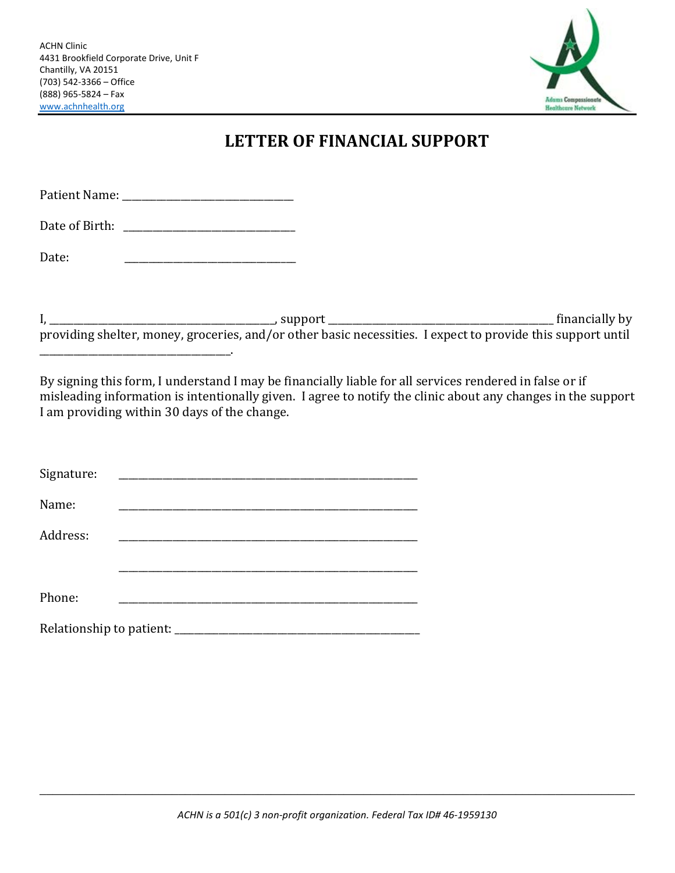\_\_\_\_\_\_\_\_\_\_\_\_\_\_\_\_\_\_\_\_\_\_\_\_\_\_\_\_\_\_\_\_\_\_\_\_\_\_\_.



## **LETTER OF FINANCIAL SUPPORT**

| Date: |  |                |
|-------|--|----------------|
|       |  |                |
|       |  | financially by |

providing shelter, money, groceries, and/or other basic necessities. I expect to provide this support until

By signing this form, I understand I may be financially liable for all services rendered in false or if misleading information is intentionally given. I agree to notify the clinic about any changes in the support I am providing within 30 days of the change.

| Signature:                      |  |  |
|---------------------------------|--|--|
| Name:                           |  |  |
| Address:                        |  |  |
|                                 |  |  |
| Phone:                          |  |  |
| Relationship to patient: ______ |  |  |

\_\_\_\_\_\_\_\_\_\_\_\_\_\_\_\_\_\_\_\_\_\_\_\_\_\_\_\_\_\_\_\_\_\_\_\_\_\_\_\_\_\_\_\_\_\_\_\_\_\_\_\_\_\_\_\_\_\_\_\_\_\_\_\_\_\_\_\_\_\_\_\_\_\_\_\_\_\_\_\_\_\_\_\_\_\_\_\_\_\_